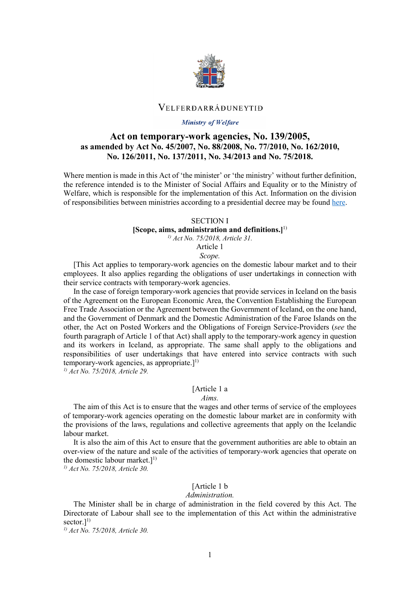

### VELFERDARRÁÐUNEYTIÐ

#### Ministry of Welfare

# **Act on temporary-work agencies, No. 139/2005, as amended by Act No. 45/2007, No. 88/2008, No. 77/2010, No. 162/2010, No. 126/2011, No. 137/2011, No. 34/2013 and No. 75/2018.**

Where mention is made in this Act of 'the minister' or 'the ministry' without further definition, the reference intended is to the Minister of Social Affairs and Equality or to the Ministry of Welfare, which is responsible for the implementation of this Act. Information on the division of responsibilities between ministries according to a presidential decree may be foun[d here.](http://www.althingi.is/lagas/nuna/2017084.html)

#### SECTION I

### **[Scope, aims, administration and definitions.]**1)

*1) Act No. 75/2018, Article 31.* 

Article 1

*Scope.*

[This Act applies to temporary-work agencies on the domestic labour market and to their employees. It also applies regarding the obligations of user undertakings in connection with their service contracts with temporary-work agencies.

In the case of foreign temporary-work agencies that provide services in Iceland on the basis of the Agreement on the European Economic Area, the Convention Establishing the European Free Trade Association or the Agreement between the Government of Iceland, on the one hand, and the Government of Denmark and the Domestic Administration of the Faroe Islands on the other, the Act on Posted Workers and the Obligations of Foreign Service-Providers (*see* the fourth paragraph of Article 1 of that Act) shall apply to the temporary-work agency in question and its workers in Iceland, as appropriate. The same shall apply to the obligations and responsibilities of user undertakings that have entered into service contracts with such temporary-work agencies, as appropriate. $]^{1)}$ 

*1) Act No. 75/2018, Article 29.* 

### [Article 1 a

#### *Aims.*

The aim of this Act is to ensure that the wages and other terms of service of the employees of temporary-work agencies operating on the domestic labour market are in conformity with the provisions of the laws, regulations and collective agreements that apply on the Icelandic labour market.

It is also the aim of this Act to ensure that the government authorities are able to obtain an over-view of the nature and scale of the activities of temporary-work agencies that operate on the domestic labour market.]<sup>1)</sup>

*1) Act No. 75/2018, Article 30.* 

### [Article 1 b]

#### *Administration.*

The Minister shall be in charge of administration in the field covered by this Act. The Directorate of Labour shall see to the implementation of this Act within the administrative sector.]<sup>1)</sup>

*1) Act No. 75/2018, Article 30.*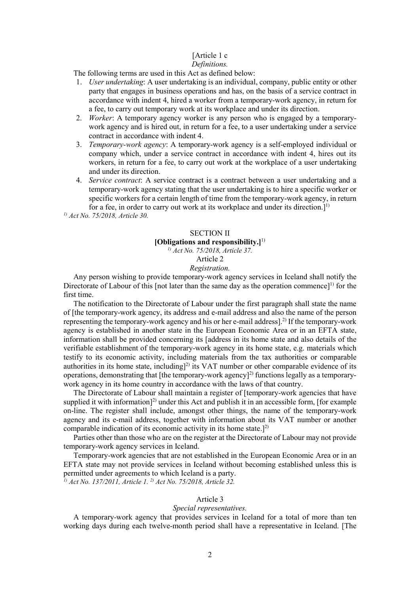# [Article 1 c]

# *Definitions.*

The following terms are used in this Act as defined below:

- 1. *User undertaking*: A user undertaking is an individual, company, public entity or other party that engages in business operations and has, on the basis of a service contract in accordance with indent 4, hired a worker from a temporary-work agency, in return for a fee, to carry out temporary work at its workplace and under its direction.
- 2. *Worker*: A temporary agency worker is any person who is engaged by a temporarywork agency and is hired out, in return for a fee, to a user undertaking under a service contract in accordance with indent 4.
- 3. *Temporary-work agency*: A temporary-work agency is a self-employed individual or company which, under a service contract in accordance with indent 4, hires out its workers, in return for a fee, to carry out work at the workplace of a user undertaking and under its direction.
- 4. *Service contract*: A service contract is a contract between a user undertaking and a temporary-work agency stating that the user undertaking is to hire a specific worker or specific workers for a certain length of time from the temporary-work agency, in return for a fee, in order to carry out work at its workplace and under its direction. $]^{1}$

*1) Act No. 75/2018, Article 30.* 

# SECTION II **[Obligations and responsibility.]**1)

*1) Act No. 75/2018, Article 37.* 

# Article 2

*Registration.*

Any person wishing to provide temporary-work agency services in Iceland shall notify the Directorate of Labour of this [not later than the same day as the operation commence]<sup>1)</sup> for the first time.

The notification to the Directorate of Labour under the first paragraph shall state the name of [the temporary-work agency, its address and e-mail address and also the name of the person representing the temporary-work agency and his or her e-mail address]. 2) If the temporary-work agency is established in another state in the European Economic Area or in an EFTA state, information shall be provided concerning its [address in its home state and also details of the verifiable establishment of the temporary-work agency in its home state, e.g. materials which testify to its economic activity, including materials from the tax authorities or comparable authorities in its home state, including]<sup>2)</sup> its VAT number or other comparable evidence of its operations, demonstrating that [the temporary-work agency]<sup>2)</sup> functions legally as a temporarywork agency in its home country in accordance with the laws of that country.

The Directorate of Labour shall maintain a register of [temporary-work agencies that have supplied it with information]<sup>2)</sup> under this Act and publish it in an accessible form, [for example on-line. The register shall include, amongst other things, the name of the temporary-work agency and its e-mail address, together with information about its VAT number or another comparable indication of its economic activity in its home state.] $^{2)}$ 

Parties other than those who are on the register at the Directorate of Labour may not provide temporary-work agency services in Iceland.

Temporary-work agencies that are not established in the European Economic Area or in an EFTA state may not provide services in Iceland without becoming established unless this is permitted under agreements to which Iceland is a party.

*1) Act No. 137/2011, Article 1. 2) Act No. 75/2018, Article 32.*

# Article 3

### *Special representatives.*

A temporary-work agency that provides services in Iceland for a total of more than ten working days during each twelve-month period shall have a representative in Iceland. [The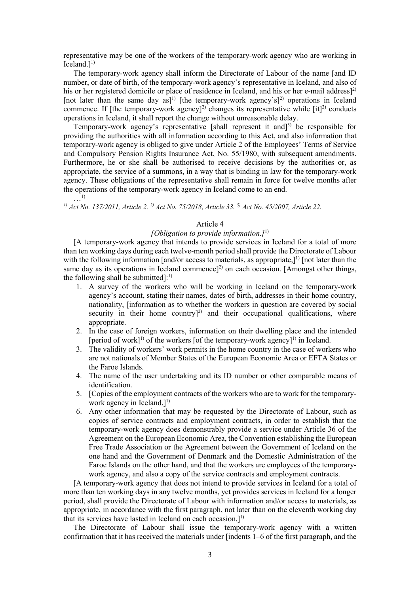representative may be one of the workers of the temporary-work agency who are working in Iceland. $]^{1)}$ 

The temporary-work agency shall inform the Directorate of Labour of the name [and ID number, or date of birth, of the temporary-work agency's representative in Iceland, and also of his or her registered domicile or place of residence in Iceland, and his or her e-mail address]<sup>2)</sup> [not later than the same day as]<sup>1)</sup> [the temporary-work agency's]<sup>2)</sup> operations in Iceland commence. If [the temporary-work agency]<sup>2)</sup> changes its representative while  $[it]^2$  conducts operations in Iceland, it shall report the change without unreasonable delay.

Temporary-work agency's representative [shall represent it and] 3) be responsible for providing the authorities with all information according to this Act, and also information that temporary-work agency is obliged to give under Article 2 of the Employees' Terms of Service and Compulsory Pension Rights Insurance Act, No. 55/1980, with subsequent amendments. Furthermore, he or she shall be authorised to receive decisions by the authorities or, as appropriate, the service of a summons, in a way that is binding in law for the temporary-work agency. These obligations of the representative shall remain in force for twelve months after the operations of the temporary-work agency in Iceland come to an end.  $\ldots$ <sup>1</sup>

*1) Act No. 137/2011, Article 2. 2) Act No. 75/2018, Article 33. 3) Act No. 45/2007, Article 22.*

### Article 4

### *[Obligation to provide information.]*1)

[A temporary-work agency that intends to provide services in Iceland for a total of more than ten working days during each twelve-month period shall provide the Directorate of Labour with the following information [and/or access to materials, as appropriate,]<sup>1)</sup> [not later than the same day as its operations in Iceland commence]<sup>2)</sup> on each occasion. [Amongst other things, the following shall be submitted]: $^{1)}$ 

- 1. A survey of the workers who will be working in Iceland on the temporary-work agency's account, stating their names, dates of birth, addresses in their home country, nationality, [information as to whether the workers in question are covered by social security in their home country]<sup>2)</sup> and their occupational qualifications, where appropriate.
- 2. In the case of foreign workers, information on their dwelling place and the intended [period of work]<sup>1)</sup> of the workers [of the temporary-work agency]<sup>1)</sup> in Iceland.
- 3. The validity of workers' work permits in the home country in the case of workers who are not nationals of Member States of the European Economic Area or EFTA States or the Faroe Islands.
- 4. The name of the user undertaking and its ID number or other comparable means of identification.
- 5. [Copies of the employment contracts of the workers who are to work for the temporarywork agency in Iceland.]<sup>1)</sup>
- 6. Any other information that may be requested by the Directorate of Labour, such as copies of service contracts and employment contracts, in order to establish that the temporary-work agency does demonstrably provide a service under Article 36 of the Agreement on the European Economic Area, the Convention establishing the European Free Trade Association or the Agreement between the Government of Iceland on the one hand and the Government of Denmark and the Domestic Administration of the Faroe Islands on the other hand, and that the workers are employees of the temporarywork agency, and also a copy of the service contracts and employment contracts.

[A temporary-work agency that does not intend to provide services in Iceland for a total of more than ten working days in any twelve months, yet provides services in Iceland for a longer period, shall provide the Directorate of Labour with information and/or access to materials, as appropriate, in accordance with the first paragraph, not later than on the eleventh working day that its services have lasted in Iceland on each occasion.]<sup>1)</sup>

The Directorate of Labour shall issue the temporary-work agency with a written confirmation that it has received the materials under [indents 1–6 of the first paragraph, and the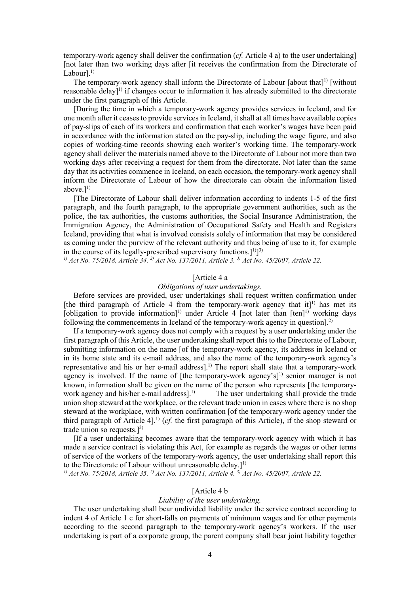temporary-work agency shall deliver the confirmation (*cf.* Article 4 a) to the user undertaking] [not later than two working days after [it receives the confirmation from the Directorate of Labour].<sup>1)</sup>

The temporary-work agency shall inform the Directorate of Labour [about that]<sup>1)</sup> [without reasonable delay]<sup>1)</sup> if changes occur to information it has already submitted to the directorate under the first paragraph of this Article.

[During the time in which a temporary-work agency provides services in Iceland, and for one month after it ceases to provide services in Iceland, it shall at all times have available copies of pay-slips of each of its workers and confirmation that each worker's wages have been paid in accordance with the information stated on the pay-slip, including the wage figure, and also copies of working-time records showing each worker's working time. The temporary-work agency shall deliver the materials named above to the Directorate of Labour not more than two working days after receiving a request for them from the directorate. Not later than the same day that its activities commence in Iceland, on each occasion, the temporary-work agency shall inform the Directorate of Labour of how the directorate can obtain the information listed above. $]^{1)}$ 

[The Directorate of Labour shall deliver information according to indents 1-5 of the first paragraph, and the fourth paragraph, to the appropriate government authorities, such as the police, the tax authorities, the customs authorities, the Social Insurance Administration, the Immigration Agency, the Administration of Occupational Safety and Health and Registers Iceland, providing that what is involved consists solely of information that may be considered as coming under the purview of the relevant authority and thus being of use to it, for example in the course of its legally-prescribed supervisory functions.] $^{1)}$ ]<sup>3)</sup>

*1) Act No. 75/2018, Article 34. 2) Act No. 137/2011, Article 3. 3) Act No. 45/2007, Article 22.*

### [Article 4 a

### *Obligations of user undertakings.*

Before services are provided, user undertakings shall request written confirmation under [the third paragraph of Article 4 from the temporary-work agency that it]<sup>1)</sup> has met its [obligation to provide information]<sup>1)</sup> under Article 4 [not later than [ten]<sup>1)</sup> working days following the commencements in Iceland of the temporary-work agency in question.<sup>2)</sup>

If a temporary-work agency does not comply with a request by a user undertaking under the first paragraph of this Article, the user undertaking shall report this to the Directorate of Labour, submitting information on the name [of the temporary-work agency, its address in Iceland or in its home state and its e-mail address, and also the name of the temporary-work agency's representative and his or her e-mail address]. 1) The report shall state that a temporary-work agency is involved. If the name of [the temporary-work agency's]<sup>1)</sup> senior manager is not known, information shall be given on the name of the person who represents [the temporarywork agency and his/her e-mail address $l^{(1)}$  The user undertaking shall provide the trade union shop steward at the workplace, or the relevant trade union in cases where there is no shop steward at the workplace, with written confirmation [of the temporary-work agency under the third paragraph of Article 4], 1) (*cf.* the first paragraph of this Article), if the shop steward or trade union so requests.] $^{3)}$ 

[If a user undertaking becomes aware that the temporary-work agency with which it has made a service contract is violating this Act, for example as regards the wages or other terms of service of the workers of the temporary-work agency, the user undertaking shall report this to the Directorate of Labour without unreasonable delay.]<sup>1)</sup>

*1) Act No. 75/2018, Article 35. 2) Act No. 137/2011, Article 4. 3) Act No. 45/2007, Article 22.*

### [Article 4 b]

#### *Liability of the user undertaking.*

The user undertaking shall bear undivided liability under the service contract according to indent 4 of Article 1 c for short-falls on payments of minimum wages and for other payments according to the second paragraph to the temporary-work agency's workers. If the user undertaking is part of a corporate group, the parent company shall bear joint liability together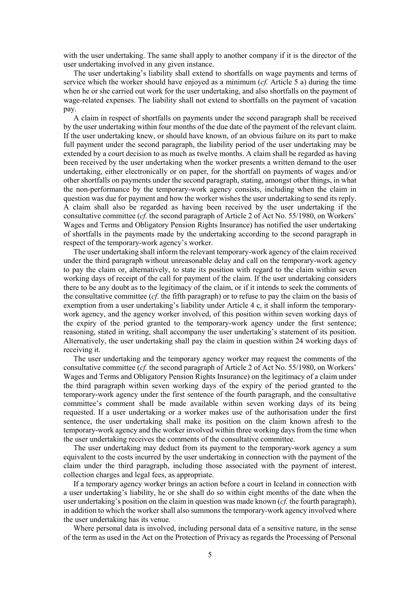with the user undertaking. The same shall apply to another company if it is the director of the user undertaking involved in any given instance.

The user undertaking's liability shall extend to shortfalls on wage payments and terms of service which the worker should have enjoyed as a minimum (*cf.* Article 5 a) during the time when he or she carried out work for the user undertaking, and also shortfalls on the payment of wage-related expenses. The liability shall not extend to shortfalls on the payment of vacation pay.

A claim in respect of shortfalls on payments under the second paragraph shall be received by the user undertaking within four months of the due date of the payment of the relevant claim. If the user undertaking knew, or should have known, of an obvious failure on its part to make full payment under the second paragraph, the liability period of the user undertaking may be extended by a court decision to as much as twelve months. A claim shall be regarded as having been received by the user undertaking when the worker presents a written demand to the user undertaking, either electronically or on paper, for the shortfall on payments of wages and/or other shortfalls on payments under the second paragraph, stating, amongst other things, in what the non-performance by the temporary-work agency consists, including when the claim in question was due for payment and how the worker wishes the user undertaking to send its reply. A claim shall also be regarded as having been received by the user undertaking if the consultative committee (*cf.* the second paragraph of Article 2 of Act No. 55/1980, on Workers' Wages and Terms and Obligatory Pension Rights Insurance) has notified the user undertaking of shortfalls in the payments made by the undertaking according to the second paragraph in respect of the temporary-work agency's worker.

The user undertaking shall inform the relevant temporary-work agency of the claim received under the third paragraph without unreasonable delay and call on the temporary-work agency to pay the claim or, alternatively, to state its position with regard to the claim within seven working days of receipt of the call for payment of the claim. If the user undertaking considers there to be any doubt as to the legitimacy of the claim, or if it intends to seek the comments of the consultative committee (*cf.* the fifth paragraph) or to refuse to pay the claim on the basis of exemption from a user undertaking's liability under Article 4 c, it shall inform the temporarywork agency, and the agency worker involved, of this position within seven working days of the expiry of the period granted to the temporary-work agency under the first sentence; reasoning, stated in writing, shall accompany the user undertaking's statement of its position. Alternatively, the user undertaking shall pay the claim in question within 24 working days of receiving it.

The user undertaking and the temporary agency worker may request the comments of the consultative committee (*cf.* the second paragraph of Article 2 of Act No. 55/1980, on Workers' Wages and Terms and Obligatory Pension Rights Insurance) on the legitimacy of a claim under the third paragraph within seven working days of the expiry of the period granted to the temporary-work agency under the first sentence of the fourth paragraph, and the consultative committee's comment shall be made available within seven working days of its being requested. If a user undertaking or a worker makes use of the authorisation under the first sentence, the user undertaking shall make its position on the claim known afresh to the temporary-work agency and the worker involved within three working days from the time when the user undertaking receives the comments of the consultative committee.

The user undertaking may deduct from its payment to the temporary-work agency a sum equivalent to the costs incurred by the user undertaking in connection with the payment of the claim under the third paragraph, including those associated with the payment of interest, collection charges and legal fees, as appropriate.

If a temporary agency worker brings an action before a court in Iceland in connection with a user undertaking's liability, he or she shall do so within eight months of the date when the user undertaking's position on the claim in question was made known (*cf.* the fourth paragraph), in addition to which the worker shall also summons the temporary-work agency involved where the user undertaking has its venue.

Where personal data is involved, including personal data of a sensitive nature, in the sense of the term as used in the Act on the Protection of Privacy as regards the Processing of Personal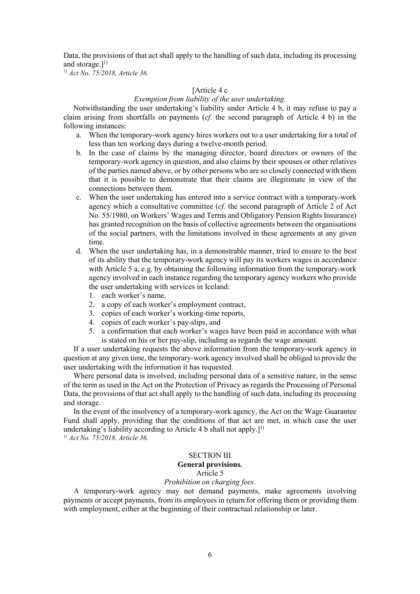Data, the provisions of that act shall apply to the handling of such data, including its processing and storage.]<sup>1)</sup>

*1) Act No. 75/2018, Article 36.*

### [Article 4 c

### *Exemption from liability of the user undertaking.*

Notwithstanding the user undertaking's liability under Article 4 b, it may refuse to pay a claim arising from shortfalls on payments (*cf.* the second paragraph of Article 4 b) in the following instances:

- a. When the temporary-work agency hires workers out to a user undertaking for a total of less than ten working days during a twelve-month period.
- b. In the case of claims by the managing director, board directors or owners of the temporary-work agency in question, and also claims by their spouses or other relatives of the parties named above, or by other persons who are so closely connected with them that it is possible to demonstrate that their claims are illegitimate in view of the connections between them.
- c. When the user undertaking has entered into a service contract with a temporary-work agency which a consultative committee (*cf.* the second paragraph of Article 2 of Act No. 55/1980, on Workers' Wages and Terms and Obligatory Pension Rights Insurance) has granted recognition on the basis of collective agreements between the organisations of the social partners, with the limitations involved in these agreements at any given time.
- d. When the user undertaking has, in a demonstrable manner, tried to ensure to the best of its ability that the temporary-work agency will pay its workers wages in accordance with Article 5 a, e.g. by obtaining the following information from the temporary-work agency involved in each instance regarding the temporary agency workers who provide the user undertaking with services in Iceland:
	- 1. each worker's name,
	- 2. a copy of each worker's employment contract,
	- 3. copies of each worker's working-time reports,
	- 4. copies of each worker's pay-slips, and
	- 5. a confirmation that each worker's wages have been paid in accordance with what is stated on his or her pay-slip, including as regards the wage amount.

If a user undertaking requests the above information from the temporary-work agency in question at any given time, the temporary-work agency involved shall be obliged to provide the user undertaking with the information it has requested.

Where personal data is involved, including personal data of a sensitive nature, in the sense of the term as used in the Act on the Protection of Privacy as regards the Processing of Personal Data, the provisions of that act shall apply to the handling of such data, including its processing and storage.

In the event of the insolvency of a temporary-work agency, the Act on the Wage Guarantee Fund shall apply, providing that the conditions of that act are met, in which case the user undertaking's liability according to Article 4 b shall not apply.]<sup>1)</sup> *1) Act No. 75/2018, Article 36.*

### SECTION III

### **General provisions.**

Article 5

### *Prohibition on charging fees*.

A temporary-work agency may not demand payments, make agreements involving payments or accept payments, from its employees in return for offering them or providing them with employment, either at the beginning of their contractual relationship or later.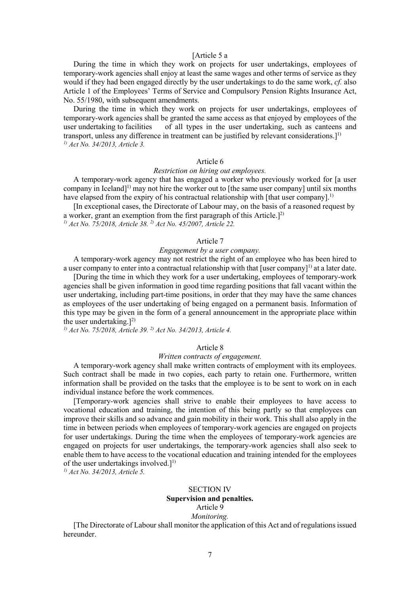### [Article 5 a

During the time in which they work on projects for user undertakings, employees of temporary-work agencies shall enjoy at least the same wages and other terms of service as they would if they had been engaged directly by the user undertakings to do the same work, *cf.* also Article 1 of the Employees' Terms of Service and Compulsory Pension Rights Insurance Act, No. 55/1980, with subsequent amendments.

During the time in which they work on projects for user undertakings, employees of temporary-work agencies shall be granted the same access as that enjoyed by employees of the user undertaking to facilities of all types in the user undertaking, such as canteens and transport, unless any difference in treatment can be justified by relevant considerations. $]^{1}$ *1) Act No. 34/2013, Article 3.* 

### Article 6

#### *Restriction on hiring out employees.*

A temporary-work agency that has engaged a worker who previously worked for [a user company in Iceland<sup>[1]</sup> may not hire the worker out to [the same user company] until six months have elapsed from the expiry of his contractual relationship with [that user company].<sup>1)</sup>

[In exceptional cases, the Directorate of Labour may, on the basis of a reasoned request by a worker, grant an exemption from the first paragraph of this Article. $]^{2}$ 

*1) Act No. 75/2018, Article 38. 2) Act No. 45/2007, Article 22.*

### Article 7

### *Engagement by a user company.*

A temporary-work agency may not restrict the right of an employee who has been hired to a user company to enter into a contractual relationship with that  $[user company]<sup>1</sup>$  at a later date.

[During the time in which they work for a user undertaking, employees of temporary-work agencies shall be given information in good time regarding positions that fall vacant within the user undertaking, including part-time positions, in order that they may have the same chances as employees of the user undertaking of being engaged on a permanent basis. Information of this type may be given in the form of a general announcement in the appropriate place within the user undertaking. $]^{2)}$ 

*1) Act No. 75/2018, Article 39. 2) Act No. 34/2013, Article 4.*

#### Article 8

#### *Written contracts of engagement.*

A temporary-work agency shall make written contracts of employment with its employees. Such contract shall be made in two copies, each party to retain one. Furthermore, written information shall be provided on the tasks that the employee is to be sent to work on in each individual instance before the work commences.

[Temporary-work agencies shall strive to enable their employees to have access to vocational education and training, the intention of this being partly so that employees can improve their skills and so advance and gain mobility in their work. This shall also apply in the time in between periods when employees of temporary-work agencies are engaged on projects for user undertakings. During the time when the employees of temporary-work agencies are engaged on projects for user undertakings, the temporary-work agencies shall also seek to enable them to have access to the vocational education and training intended for the employees of the user undertakings involved. $]^{1)}$ 

*1) Act No. 34/2013, Article 5.* 

#### SECTION IV **Supervision and penalties.** Article 9

# *Monitoring.*

[The Directorate of Labour shall monitor the application of this Act and of regulations issued hereunder.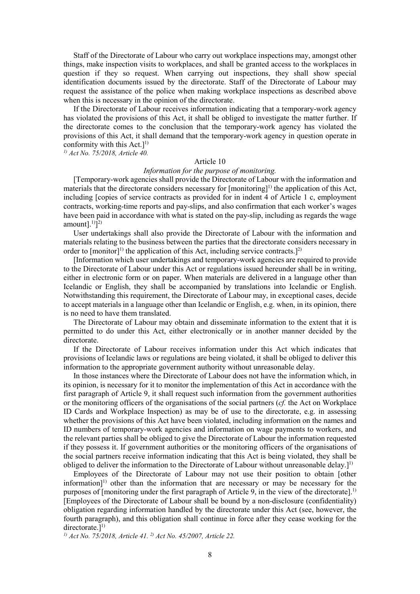Staff of the Directorate of Labour who carry out workplace inspections may, amongst other things, make inspection visits to workplaces, and shall be granted access to the workplaces in question if they so request. When carrying out inspections, they shall show special identification documents issued by the directorate. Staff of the Directorate of Labour may request the assistance of the police when making workplace inspections as described above when this is necessary in the opinion of the directorate.

If the Directorate of Labour receives information indicating that a temporary-work agency has violated the provisions of this Act, it shall be obliged to investigate the matter further. If the directorate comes to the conclusion that the temporary-work agency has violated the provisions of this Act, it shall demand that the temporary-work agency in question operate in conformity with this  $Act.$ <sup>1)</sup>

*1) Act No. 75/2018, Article 40.* 

### Article 10

### *Information for the purpose of monitoring.*

[Temporary-work agencies shall provide the Directorate of Labour with the information and materials that the directorate considers necessary for [monitoring]<sup>1)</sup> the application of this Act, including [copies of service contracts as provided for in indent 4 of Article 1 c, employment contracts, working-time reports and pay-slips, and also confirmation that each worker's wages have been paid in accordance with what is stated on the pay-slip, including as regards the wage amount $]$ .<sup>1)</sup> $]$ <sup>2)</sup>

User undertakings shall also provide the Directorate of Labour with the information and materials relating to the business between the parties that the directorate considers necessary in order to [monitor]<sup>1)</sup> the application of this Act, including service contracts.]<sup>2)</sup>

[Information which user undertakings and temporary-work agencies are required to provide to the Directorate of Labour under this Act or regulations issued hereunder shall be in writing, either in electronic form or on paper. When materials are delivered in a language other than Icelandic or English, they shall be accompanied by translations into Icelandic or English. Notwithstanding this requirement, the Directorate of Labour may, in exceptional cases, decide to accept materials in a language other than Icelandic or English, e.g. when, in its opinion, there is no need to have them translated.

The Directorate of Labour may obtain and disseminate information to the extent that it is permitted to do under this Act, either electronically or in another manner decided by the directorate.

If the Directorate of Labour receives information under this Act which indicates that provisions of Icelandic laws or regulations are being violated, it shall be obliged to deliver this information to the appropriate government authority without unreasonable delay.

In those instances where the Directorate of Labour does not have the information which, in its opinion, is necessary for it to monitor the implementation of this Act in accordance with the first paragraph of Article 9, it shall request such information from the government authorities or the monitoring officers of the organisations of the social partners (*cf.* the Act on Workplace ID Cards and Workplace Inspection) as may be of use to the directorate, e.g. in assessing whether the provisions of this Act have been violated, including information on the names and ID numbers of temporary-work agencies and information on wage payments to workers, and the relevant parties shall be obliged to give the Directorate of Labour the information requested if they possess it. If government authorities or the monitoring officers of the organisations of the social partners receive information indicating that this Act is being violated, they shall be obliged to deliver the information to the Directorate of Labour without unreasonable delay.]<sup>1)</sup>

Employees of the Directorate of Labour may not use their position to obtain [other information]<sup>1)</sup> other than the information that are necessary or may be necessary for the purposes of [monitoring under the first paragraph of Article 9, in the view of the directorate].<sup>1)</sup> [Employees of the Directorate of Labour shall be bound by a non-disclosure (confidentiality) obligation regarding information handled by the directorate under this Act (see, however, the fourth paragraph), and this obligation shall continue in force after they cease working for the directorate. $]^{1)}$ 

*1) Act No. 75/2018, Article 41. 2) Act No. 45/2007, Article 22.*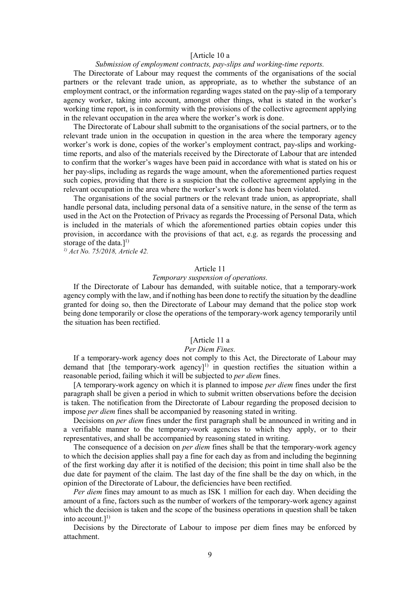#### [Article 10 a

#### *Submission of employment contracts, pay-slips and working-time reports.*

The Directorate of Labour may request the comments of the organisations of the social partners or the relevant trade union, as appropriate, as to whether the substance of an employment contract, or the information regarding wages stated on the pay-slip of a temporary agency worker, taking into account, amongst other things, what is stated in the worker's working time report, is in conformity with the provisions of the collective agreement applying in the relevant occupation in the area where the worker's work is done.

The Directorate of Labour shall submitt to the organisations of the social partners, or to the relevant trade union in the occupation in question in the area where the temporary agency worker's work is done, copies of the worker's employment contract, pay-slips and workingtime reports, and also of the materials received by the Directorate of Labour that are intended to confirm that the worker's wages have been paid in accordance with what is stated on his or her pay-slips, including as regards the wage amount, when the aforementioned parties request such copies, providing that there is a suspicion that the collective agreement applying in the relevant occupation in the area where the worker's work is done has been violated.

The organisations of the social partners or the relevant trade union, as appropriate, shall handle personal data, including personal data of a sensitive nature, in the sense of the term as used in the Act on the Protection of Privacy as regards the Processing of Personal Data, which is included in the materials of which the aforementioned parties obtain copies under this provision, in accordance with the provisions of that act, e.g. as regards the processing and storage of the data.]<sup>1)</sup>

*1) Act No. 75/2018, Article 42.*

#### Article 11

#### *Temporary suspension of operations.*

If the Directorate of Labour has demanded, with suitable notice, that a temporary-work agency comply with the law, and if nothing has been done to rectify the situation by the deadline granted for doing so, then the Directorate of Labour may demand that the police stop work being done temporarily or close the operations of the temporary-work agency temporarily until the situation has been rectified.

### [Article 11 a

#### *Per Diem Fines.*

If a temporary-work agency does not comply to this Act, the Directorate of Labour may demand that [the temporary-work agency]<sup>1)</sup> in question rectifies the situation within a reasonable period, failing which it will be subjected to *per diem* fines.

[A temporary-work agency on which it is planned to impose *per diem* fines under the first paragraph shall be given a period in which to submit written observations before the decision is taken. The notification from the Directorate of Labour regarding the proposed decision to impose *per diem* fines shall be accompanied by reasoning stated in writing.

Decisions on *per diem* fines under the first paragraph shall be announced in writing and in a verifiable manner to the temporary-work agencies to which they apply, or to their representatives, and shall be accompanied by reasoning stated in writing.

The consequence of a decision on *per diem* fines shall be that the temporary-work agency to which the decision applies shall pay a fine for each day as from and including the beginning of the first working day after it is notified of the decision; this point in time shall also be the due date for payment of the claim. The last day of the fine shall be the day on which, in the opinion of the Directorate of Labour, the deficiencies have been rectified.

*Per diem* fines may amount to as much as ISK 1 million for each day. When deciding the amount of a fine, factors such as the number of workers of the temporary-work agency against which the decision is taken and the scope of the business operations in question shall be taken into account.] $^{1)}$ 

Decisions by the Directorate of Labour to impose per diem fines may be enforced by attachment.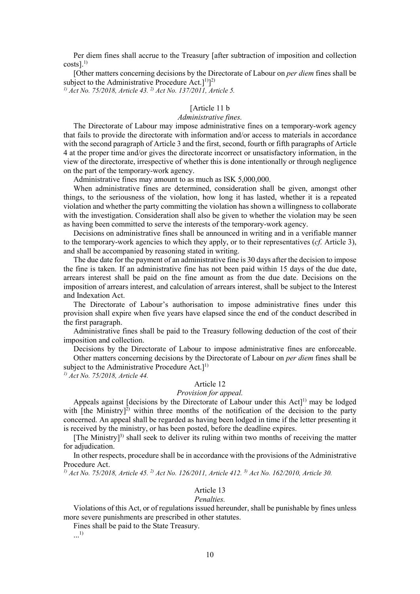Per diem fines shall accrue to the Treasury [after subtraction of imposition and collection  $costs$ ].<sup>1)</sup>

[Other matters concerning decisions by the Directorate of Labour on *per diem* fines shall be subject to the Administrative Procedure Act.] $^{1)}$ ]<sup>2)</sup>

*1) Act No. 75/2018, Article 43. 2) Act No. 137/2011, Article 5.*

### [Article 11 b]

### *Administrative fines.*

The Directorate of Labour may impose administrative fines on a temporary-work agency that fails to provide the directorate with information and/or access to materials in accordance with the second paragraph of Article 3 and the first, second, fourth or fifth paragraphs of Article 4 at the proper time and/or gives the directorate incorrect or unsatisfactory information, in the view of the directorate, irrespective of whether this is done intentionally or through negligence on the part of the temporary-work agency.

Administrative fines may amount to as much as ISK 5,000,000.

When administrative fines are determined, consideration shall be given, amongst other things, to the seriousness of the violation, how long it has lasted, whether it is a repeated violation and whether the party committing the violation has shown a willingness to collaborate with the investigation. Consideration shall also be given to whether the violation may be seen as having been committed to serve the interests of the temporary-work agency.

Decisions on administrative fines shall be announced in writing and in a verifiable manner to the temporary-work agencies to which they apply, or to their representatives (*cf.* Article 3), and shall be accompanied by reasoning stated in writing.

The due date for the payment of an administrative fine is 30 days after the decision to impose the fine is taken. If an administrative fine has not been paid within 15 days of the due date, arrears interest shall be paid on the fine amount as from the due date. Decisions on the imposition of arrears interest, and calculation of arrears interest, shall be subject to the Interest and Indexation Act.

The Directorate of Labour's authorisation to impose administrative fines under this provision shall expire when five years have elapsed since the end of the conduct described in the first paragraph.

Administrative fines shall be paid to the Treasury following deduction of the cost of their imposition and collection.

Decisions by the Directorate of Labour to impose administrative fines are enforceable. Other matters concerning decisions by the Directorate of Labour on *per diem* fines shall be subject to the Administrative Procedure Act.]<sup>1)</sup>

*1) Act No. 75/2018, Article 44.* 

# Article 12

### *Provision for appeal.*

Appeals against [decisions by the Directorate of Labour under this  $Act]$ <sup>1)</sup> may be lodged with [the Ministry]<sup>2)</sup> within three months of the notification of the decision to the party concerned. An appeal shall be regarded as having been lodged in time if the letter presenting it is received by the ministry, or has been posted, before the deadline expires.

[The Ministry]<sup>3)</sup> shall seek to deliver its ruling within two months of receiving the matter for adjudication.

In other respects, procedure shall be in accordance with the provisions of the Administrative Procedure Act.

*1) Act No. 75/2018, Article 45. 2) Act No. 126/2011, Article 412. 3) Act No. 162/2010, Article 30.* 

### Article 13

#### *Penalties.*

Violations of this Act, or of regulations issued hereunder, shall be punishable by fines unless more severe punishments are prescribed in other statutes.

Fines shall be paid to the State Treasury.

...1)